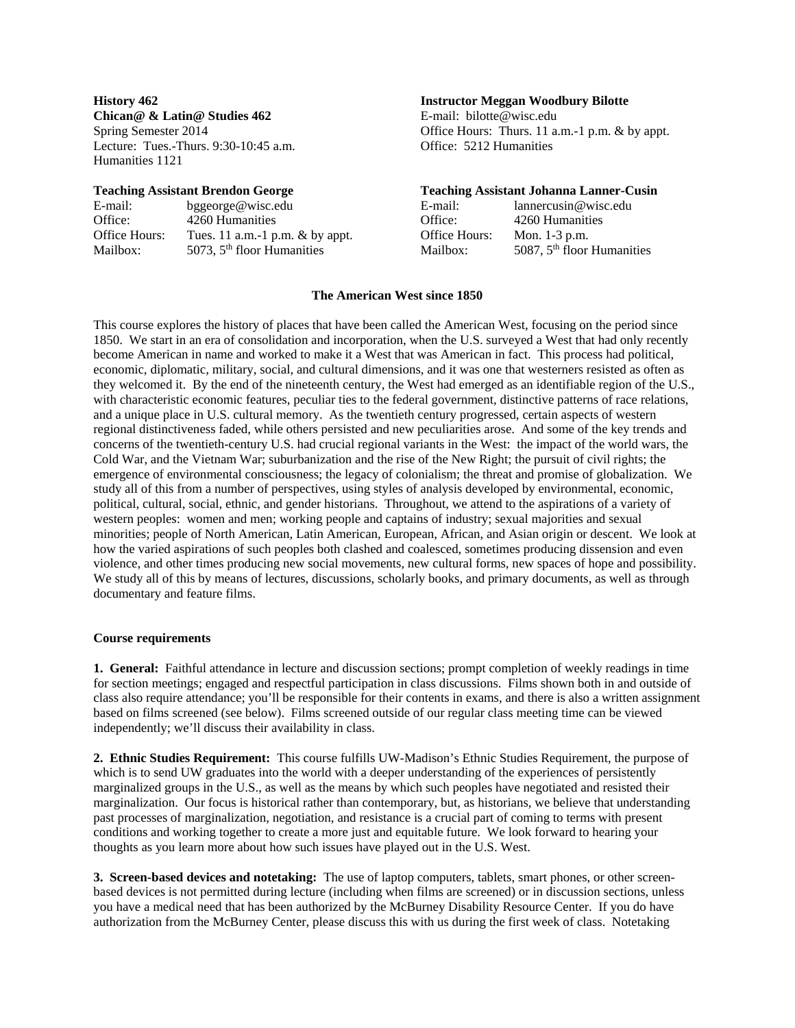**Chican@ & Latin@ Studies 462** E-mail: bilotte@wisc.edu Lecture: Tues.-Thurs. 9:30-10:45 a.m. **Office: 5212 Humanities** Humanities 1121

| E-mail:       | bggeorge@wisc.edu                 | E-mail:       | $l$ annercusin@wisc.edu         |
|---------------|-----------------------------------|---------------|---------------------------------|
| Office:       | 4260 Humanities                   | Office:       | 4260 Humanities                 |
| Office Hours: | Tues. 11 a.m.-1 p.m. $&$ by appt. | Office Hours: | Mon. $1-3$ p.m.                 |
| Mailbox:      | $5073$ , $5th$ floor Humanities   | Mailbox:      | $5087$ , $5th$ floor Humanities |

# **History 462 Instructor Meggan Woodbury Bilotte**

Spring Semester 2014 **Office Hours:** Thurs. 11 a.m.-1 p.m. & by appt.

# **Teaching Assistant Brendon George****Teaching Assistant Johanna Lanner-Cusin**

| E-mail:       | lannercusin@wisc.edu                   |
|---------------|----------------------------------------|
| Office:       | 4260 Humanities                        |
| Office Hours: | Mon. $1-3$ p.m.                        |
| Mailbox:      | 5087, 5 <sup>th</sup> floor Humanities |

## **The American West since 1850**

This course explores the history of places that have been called the American West, focusing on the period since 1850. We start in an era of consolidation and incorporation, when the U.S. surveyed a West that had only recently become American in name and worked to make it a West that was American in fact. This process had political, economic, diplomatic, military, social, and cultural dimensions, and it was one that westerners resisted as often as they welcomed it. By the end of the nineteenth century, the West had emerged as an identifiable region of the U.S., with characteristic economic features, peculiar ties to the federal government, distinctive patterns of race relations, and a unique place in U.S. cultural memory. As the twentieth century progressed, certain aspects of western regional distinctiveness faded, while others persisted and new peculiarities arose. And some of the key trends and concerns of the twentieth-century U.S. had crucial regional variants in the West: the impact of the world wars, the Cold War, and the Vietnam War; suburbanization and the rise of the New Right; the pursuit of civil rights; the emergence of environmental consciousness; the legacy of colonialism; the threat and promise of globalization. We study all of this from a number of perspectives, using styles of analysis developed by environmental, economic, political, cultural, social, ethnic, and gender historians. Throughout, we attend to the aspirations of a variety of western peoples: women and men; working people and captains of industry; sexual majorities and sexual minorities; people of North American, Latin American, European, African, and Asian origin or descent. We look at how the varied aspirations of such peoples both clashed and coalesced, sometimes producing dissension and even violence, and other times producing new social movements, new cultural forms, new spaces of hope and possibility. We study all of this by means of lectures, discussions, scholarly books, and primary documents, as well as through documentary and feature films.

## **Course requirements**

**1. General:** Faithful attendance in lecture and discussion sections; prompt completion of weekly readings in time for section meetings; engaged and respectful participation in class discussions. Films shown both in and outside of class also require attendance; you'll be responsible for their contents in exams, and there is also a written assignment based on films screened (see below). Films screened outside of our regular class meeting time can be viewed independently; we'll discuss their availability in class.

**2. Ethnic Studies Requirement:** This course fulfills UW-Madison's Ethnic Studies Requirement, the purpose of which is to send UW graduates into the world with a deeper understanding of the experiences of persistently marginalized groups in the U.S., as well as the means by which such peoples have negotiated and resisted their marginalization. Our focus is historical rather than contemporary, but, as historians, we believe that understanding past processes of marginalization, negotiation, and resistance is a crucial part of coming to terms with present conditions and working together to create a more just and equitable future. We look forward to hearing your thoughts as you learn more about how such issues have played out in the U.S. West.

**3. Screen-based devices and notetaking:** The use of laptop computers, tablets, smart phones, or other screenbased devices is not permitted during lecture (including when films are screened) or in discussion sections, unless you have a medical need that has been authorized by the McBurney Disability Resource Center. If you do have authorization from the McBurney Center, please discuss this with us during the first week of class. Notetaking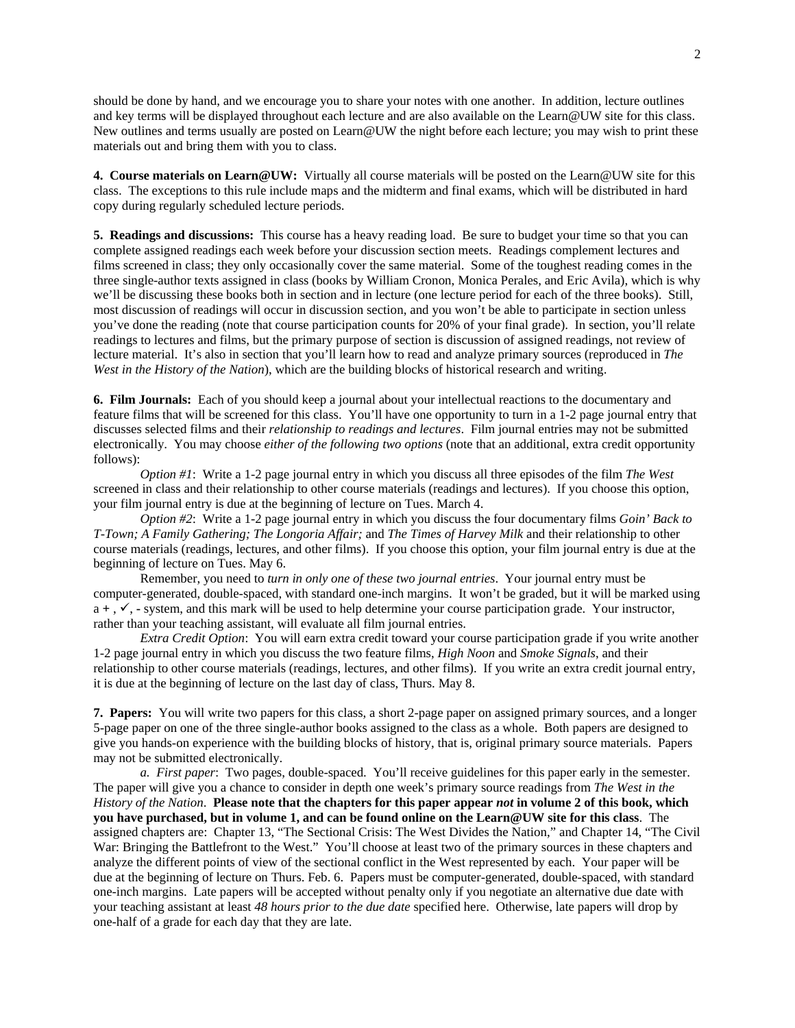should be done by hand, and we encourage you to share your notes with one another. In addition, lecture outlines and key terms will be displayed throughout each lecture and are also available on the Learn@UW site for this class. New outlines and terms usually are posted on Learn@UW the night before each lecture; you may wish to print these materials out and bring them with you to class.

**4. Course materials on Learn@UW:** Virtually all course materials will be posted on the Learn@UW site for this class. The exceptions to this rule include maps and the midterm and final exams, which will be distributed in hard copy during regularly scheduled lecture periods.

**5. Readings and discussions:** This course has a heavy reading load. Be sure to budget your time so that you can complete assigned readings each week before your discussion section meets. Readings complement lectures and films screened in class; they only occasionally cover the same material. Some of the toughest reading comes in the three single-author texts assigned in class (books by William Cronon, Monica Perales, and Eric Avila), which is why we'll be discussing these books both in section and in lecture (one lecture period for each of the three books). Still, most discussion of readings will occur in discussion section, and you won't be able to participate in section unless you've done the reading (note that course participation counts for 20% of your final grade). In section, you'll relate readings to lectures and films, but the primary purpose of section is discussion of assigned readings, not review of lecture material. It's also in section that you'll learn how to read and analyze primary sources (reproduced in *The West in the History of the Nation*), which are the building blocks of historical research and writing.

**6. Film Journals:** Each of you should keep a journal about your intellectual reactions to the documentary and feature films that will be screened for this class. You'll have one opportunity to turn in a 1-2 page journal entry that discusses selected films and their *relationship to readings and lectures*. Film journal entries may not be submitted electronically. You may choose *either of the following two options* (note that an additional, extra credit opportunity follows):

*Option #1*: Write a 1-2 page journal entry in which you discuss all three episodes of the film *The West* screened in class and their relationship to other course materials (readings and lectures). If you choose this option, your film journal entry is due at the beginning of lecture on Tues. March 4.

*Option #2*: Write a 1-2 page journal entry in which you discuss the four documentary films *Goin' Back to T-Town; A Family Gathering; The Longoria Affair;* and *The Times of Harvey Milk* and their relationship to other course materials (readings, lectures, and other films). If you choose this option, your film journal entry is due at the beginning of lecture on Tues. May 6.

Remember, you need to *turn in only one of these two journal entries*. Your journal entry must be computer-generated, double-spaced, with standard one-inch margins. It won't be graded, but it will be marked using  $a +$ ,  $\checkmark$ , - system, and this mark will be used to help determine your course participation grade. Your instructor, rather than your teaching assistant, will evaluate all film journal entries.

*Extra Credit Option*: You will earn extra credit toward your course participation grade if you write another 1-2 page journal entry in which you discuss the two feature films, *High Noon* and *Smoke Signals*, and their relationship to other course materials (readings, lectures, and other films). If you write an extra credit journal entry, it is due at the beginning of lecture on the last day of class, Thurs. May 8.

**7. Papers:** You will write two papers for this class, a short 2-page paper on assigned primary sources, and a longer 5-page paper on one of the three single-author books assigned to the class as a whole. Both papers are designed to give you hands-on experience with the building blocks of history, that is, original primary source materials. Papers may not be submitted electronically.

*a. First paper*: Two pages, double-spaced. You'll receive guidelines for this paper early in the semester. The paper will give you a chance to consider in depth one week's primary source readings from *The West in the History of the Nation*. **Please note that the chapters for this paper appear** *not* **in volume 2 of this book, which you have purchased, but in volume 1, and can be found online on the Learn@UW site for this class**. The assigned chapters are: Chapter 13, "The Sectional Crisis: The West Divides the Nation," and Chapter 14, "The Civil War: Bringing the Battlefront to the West." You'll choose at least two of the primary sources in these chapters and analyze the different points of view of the sectional conflict in the West represented by each. Your paper will be due at the beginning of lecture on Thurs. Feb. 6.Papers must be computer-generated, double-spaced, with standard one-inch margins. Late papers will be accepted without penalty only if you negotiate an alternative due date with your teaching assistant at least *48 hours prior to the due date* specified here. Otherwise, late papers will drop by one-half of a grade for each day that they are late.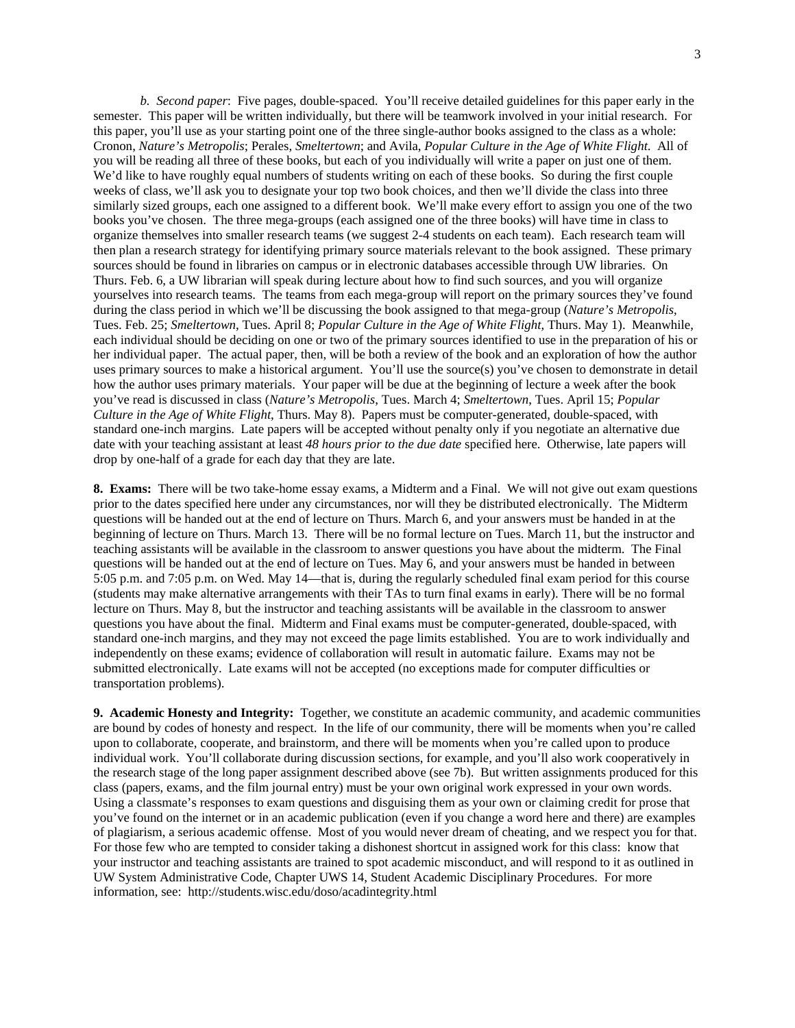*b. Second paper*: Five pages, double-spaced. You'll receive detailed guidelines for this paper early in the semester. This paper will be written individually, but there will be teamwork involved in your initial research. For this paper, you'll use as your starting point one of the three single-author books assigned to the class as a whole: Cronon, *Nature's Metropolis*; Perales, *Smeltertown*; and Avila, *Popular Culture in the Age of White Flight*. All of you will be reading all three of these books, but each of you individually will write a paper on just one of them. We'd like to have roughly equal numbers of students writing on each of these books. So during the first couple weeks of class, we'll ask you to designate your top two book choices, and then we'll divide the class into three similarly sized groups, each one assigned to a different book. We'll make every effort to assign you one of the two books you've chosen. The three mega-groups (each assigned one of the three books) will have time in class to organize themselves into smaller research teams (we suggest 2-4 students on each team). Each research team will then plan a research strategy for identifying primary source materials relevant to the book assigned. These primary sources should be found in libraries on campus or in electronic databases accessible through UW libraries. On Thurs. Feb. 6, a UW librarian will speak during lecture about how to find such sources, and you will organize yourselves into research teams. The teams from each mega-group will report on the primary sources they've found during the class period in which we'll be discussing the book assigned to that mega-group (*Nature's Metropolis*, Tues. Feb. 25; *Smeltertown*, Tues. April 8; *Popular Culture in the Age of White Flight*, Thurs. May 1). Meanwhile, each individual should be deciding on one or two of the primary sources identified to use in the preparation of his or her individual paper. The actual paper, then, will be both a review of the book and an exploration of how the author uses primary sources to make a historical argument. You'll use the source(s) you've chosen to demonstrate in detail how the author uses primary materials. Your paper will be due at the beginning of lecture a week after the book you've read is discussed in class (*Nature's Metropolis*, Tues. March 4; *Smeltertown*, Tues. April 15; *Popular Culture in the Age of White Flight*, Thurs. May 8). Papers must be computer-generated, double-spaced, with standard one-inch margins. Late papers will be accepted without penalty only if you negotiate an alternative due date with your teaching assistant at least *48 hours prior to the due date* specified here. Otherwise, late papers will drop by one-half of a grade for each day that they are late.

**8. Exams:** There will be two take-home essay exams, a Midterm and a Final. We will not give out exam questions prior to the dates specified here under any circumstances, nor will they be distributed electronically. The Midterm questions will be handed out at the end of lecture on Thurs. March 6, and your answers must be handed in at the beginning of lecture on Thurs. March 13. There will be no formal lecture on Tues. March 11, but the instructor and teaching assistants will be available in the classroom to answer questions you have about the midterm. The Final questions will be handed out at the end of lecture on Tues. May 6, and your answers must be handed in between 5:05 p.m. and 7:05 p.m. on Wed. May 14—that is, during the regularly scheduled final exam period for this course (students may make alternative arrangements with their TAs to turn final exams in early). There will be no formal lecture on Thurs. May 8, but the instructor and teaching assistants will be available in the classroom to answer questions you have about the final. Midterm and Final exams must be computer-generated, double-spaced, with standard one-inch margins, and they may not exceed the page limits established. You are to work individually and independently on these exams; evidence of collaboration will result in automatic failure. Exams may not be submitted electronically. Late exams will not be accepted (no exceptions made for computer difficulties or transportation problems).

**9. Academic Honesty and Integrity:** Together, we constitute an academic community, and academic communities are bound by codes of honesty and respect. In the life of our community, there will be moments when you're called upon to collaborate, cooperate, and brainstorm, and there will be moments when you're called upon to produce individual work. You'll collaborate during discussion sections, for example, and you'll also work cooperatively in the research stage of the long paper assignment described above (see 7b). But written assignments produced for this class (papers, exams, and the film journal entry) must be your own original work expressed in your own words. Using a classmate's responses to exam questions and disguising them as your own or claiming credit for prose that you've found on the internet or in an academic publication (even if you change a word here and there) are examples of plagiarism, a serious academic offense. Most of you would never dream of cheating, and we respect you for that. For those few who are tempted to consider taking a dishonest shortcut in assigned work for this class: know that your instructor and teaching assistants are trained to spot academic misconduct, and will respond to it as outlined in UW System Administrative Code, Chapter UWS 14, Student Academic Disciplinary Procedures. For more information, see: http://students.wisc.edu/doso/acadintegrity.html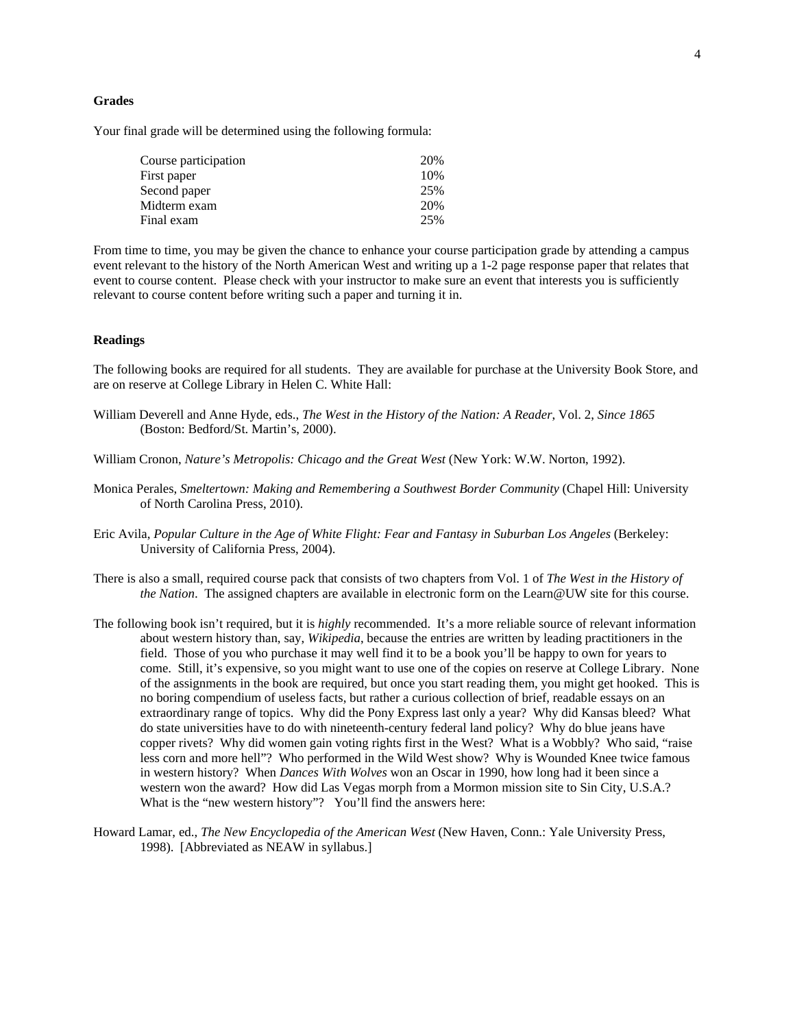## **Grades**

Your final grade will be determined using the following formula:

| Course participation | 20% |
|----------------------|-----|
| First paper          | 10% |
| Second paper         | 25% |
| Midterm exam         | 20% |
| Final exam           | 25% |

From time to time, you may be given the chance to enhance your course participation grade by attending a campus event relevant to the history of the North American West and writing up a 1-2 page response paper that relates that event to course content. Please check with your instructor to make sure an event that interests you is sufficiently relevant to course content before writing such a paper and turning it in.

## **Readings**

The following books are required for all students. They are available for purchase at the University Book Store, and are on reserve at College Library in Helen C. White Hall:

- William Deverell and Anne Hyde, eds., *The West in the History of the Nation: A Reader*, Vol. 2, *Since 1865* (Boston: Bedford/St. Martin's, 2000).
- William Cronon, *Nature's Metropolis: Chicago and the Great West* (New York: W.W. Norton, 1992).
- Monica Perales, *Smeltertown: Making and Remembering a Southwest Border Community* (Chapel Hill: University of North Carolina Press, 2010).
- Eric Avila, *Popular Culture in the Age of White Flight: Fear and Fantasy in Suburban Los Angeles* (Berkeley: University of California Press, 2004).
- There is also a small, required course pack that consists of two chapters from Vol. 1 of *The West in the History of the Nation*. The assigned chapters are available in electronic form on the Learn@UW site for this course.
- The following book isn't required, but it is *highly* recommended. It's a more reliable source of relevant information about western history than, say, *Wikipedia*, because the entries are written by leading practitioners in the field. Those of you who purchase it may well find it to be a book you'll be happy to own for years to come. Still, it's expensive, so you might want to use one of the copies on reserve at College Library. None of the assignments in the book are required, but once you start reading them, you might get hooked. This is no boring compendium of useless facts, but rather a curious collection of brief, readable essays on an extraordinary range of topics. Why did the Pony Express last only a year? Why did Kansas bleed? What do state universities have to do with nineteenth-century federal land policy? Why do blue jeans have copper rivets? Why did women gain voting rights first in the West? What is a Wobbly? Who said, "raise less corn and more hell"? Who performed in the Wild West show? Why is Wounded Knee twice famous in western history? When *Dances With Wolves* won an Oscar in 1990, how long had it been since a western won the award? How did Las Vegas morph from a Mormon mission site to Sin City, U.S.A.? What is the "new western history"? You'll find the answers here:
- Howard Lamar, ed., *The New Encyclopedia of the American West* (New Haven, Conn.: Yale University Press, 1998). [Abbreviated as NEAW in syllabus.]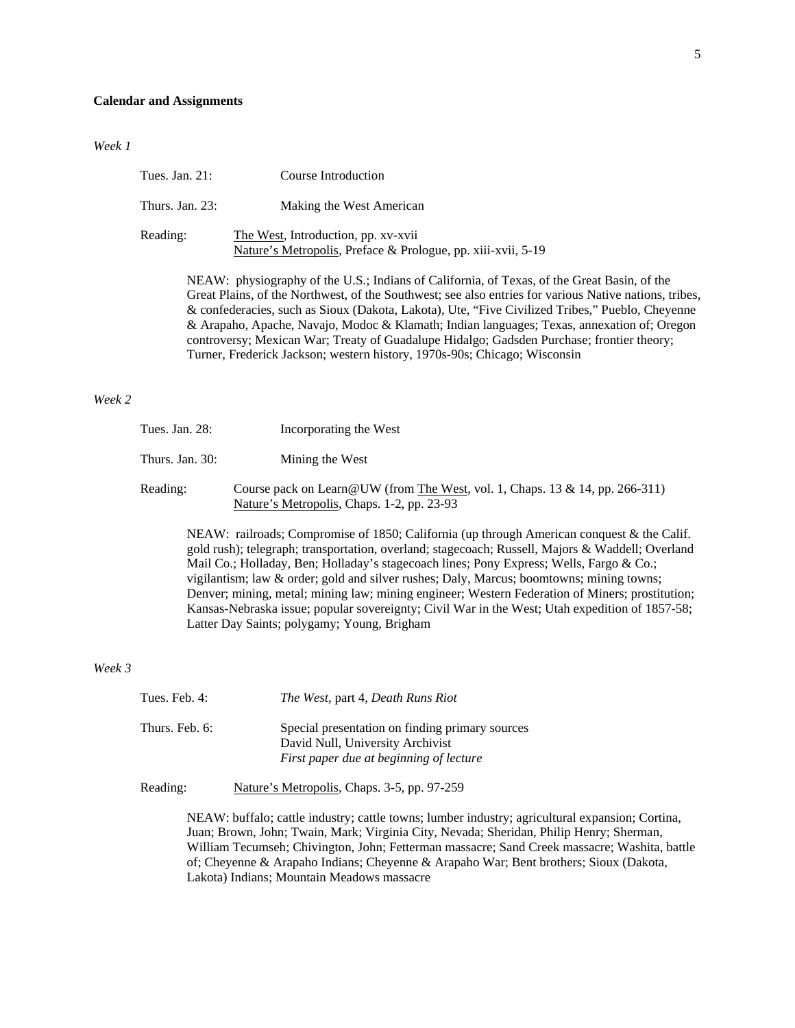## **Calendar and Assignments**

#### *Week 1*

| Tues. Jan. $21$ :  | Course Introduction                                                                                                                                                                                                                                                                                                                                                                                                                                                                                 |
|--------------------|-----------------------------------------------------------------------------------------------------------------------------------------------------------------------------------------------------------------------------------------------------------------------------------------------------------------------------------------------------------------------------------------------------------------------------------------------------------------------------------------------------|
| Thurs. Jan. $23$ : | Making the West American                                                                                                                                                                                                                                                                                                                                                                                                                                                                            |
| Reading:           | The West, Introduction, pp. xv-xvii<br>Nature's Metropolis, Preface & Prologue, pp. xiii-xvii, 5-19                                                                                                                                                                                                                                                                                                                                                                                                 |
|                    | NEAW: physiography of the U.S.; Indians of California, of Texas, of the Great Basin, of the<br>Great Plains, of the Northwest, of the Southwest; see also entries for various Native nations, tribes,<br>& confederacies, such as Sioux (Dakota, Lakota), Ute, "Five Civilized Tribes," Pueblo, Cheyenne<br>& Arapaho, Apache, Navajo, Modoc & Klamath; Indian languages; Texas, annexation of; Oregon<br>controversy; Mexican War; Treaty of Guadalupe Hidalgo; Gadsden Purchase; frontier theory; |

### *Week 2*

| Tues. Jan. 28:  | Incorporating the West                                                                                                     |
|-----------------|----------------------------------------------------------------------------------------------------------------------------|
| Thurs. Jan. 30: | Mining the West                                                                                                            |
| Reading:        | Course pack on Learn@UW (from The West, vol. 1, Chaps. 13 & 14, pp. 266-311)<br>Nature's Metropolis, Chaps. 1-2, pp. 23-93 |

Turner, Frederick Jackson; western history, 1970s-90s; Chicago; Wisconsin

NEAW: railroads; Compromise of 1850; California (up through American conquest & the Calif. gold rush); telegraph; transportation, overland; stagecoach; Russell, Majors & Waddell; Overland Mail Co.; Holladay, Ben; Holladay's stagecoach lines; Pony Express; Wells, Fargo & Co.; vigilantism; law & order; gold and silver rushes; Daly, Marcus; boomtowns; mining towns; Denver; mining, metal; mining law; mining engineer; Western Federation of Miners; prostitution; Kansas-Nebraska issue; popular sovereignty; Civil War in the West; Utah expedition of 1857-58; Latter Day Saints; polygamy; Young, Brigham

#### *Week 3*

| Tues. Feb. $4:$ | The West, part 4, Death Runs Riot                                                                                              |
|-----------------|--------------------------------------------------------------------------------------------------------------------------------|
| Thurs. Feb. 6:  | Special presentation on finding primary sources<br>David Null, University Archivist<br>First paper due at beginning of lecture |

Reading: Nature's Metropolis, Chaps. 3-5, pp. 97-259

NEAW: buffalo; cattle industry; cattle towns; lumber industry; agricultural expansion; Cortina, Juan; Brown, John; Twain, Mark; Virginia City, Nevada; Sheridan, Philip Henry; Sherman, William Tecumseh; Chivington, John; Fetterman massacre; Sand Creek massacre; Washita, battle of; Cheyenne & Arapaho Indians; Cheyenne & Arapaho War; Bent brothers; Sioux (Dakota, Lakota) Indians; Mountain Meadows massacre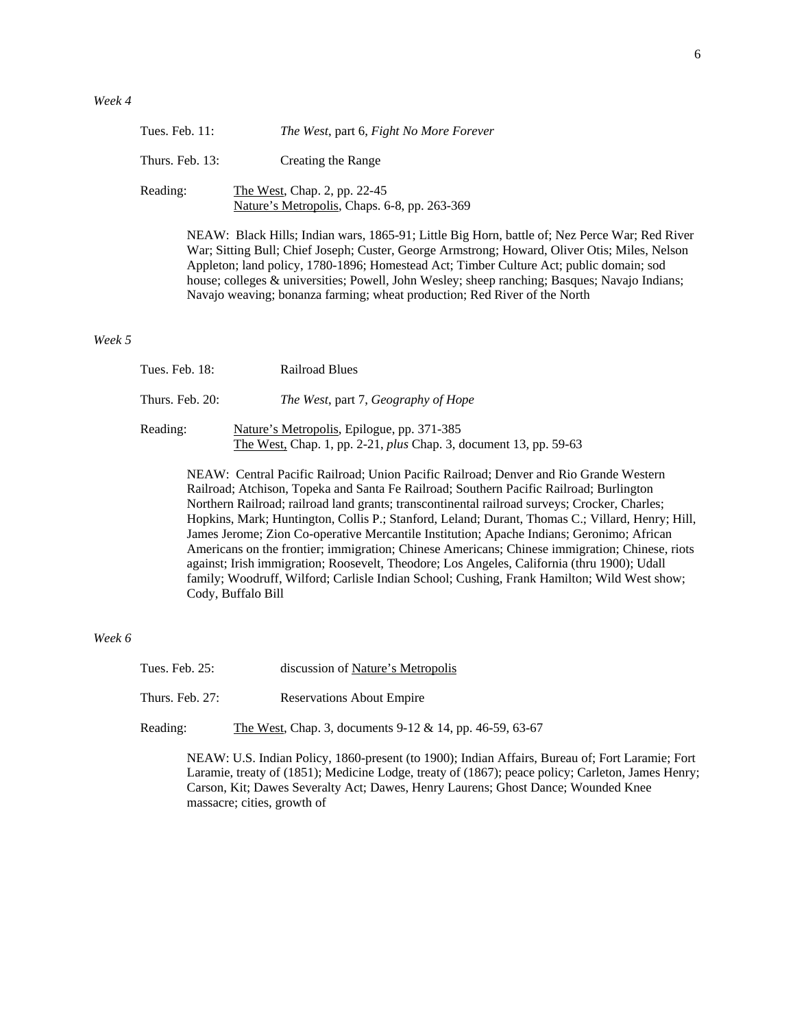| Tues. Feb. 11:  | The West, part 6, Fight No More Forever                                      |
|-----------------|------------------------------------------------------------------------------|
| Thurs. Feb. 13: | Creating the Range                                                           |
| Reading:        | The West, Chap. 2, pp. 22-45<br>Nature's Metropolis, Chaps. 6-8, pp. 263-369 |

NEAW: Black Hills; Indian wars, 1865-91; Little Big Horn, battle of; Nez Perce War; Red River War; Sitting Bull; Chief Joseph; Custer, George Armstrong; Howard, Oliver Otis; Miles, Nelson Appleton; land policy, 1780-1896; Homestead Act; Timber Culture Act; public domain; sod house; colleges & universities; Powell, John Wesley; sheep ranching; Basques; Navajo Indians; Navajo weaving; bonanza farming; wheat production; Red River of the North

*Week 5* 

| Tues. Feb. 18:  | Railroad Blues                                                                                                         |
|-----------------|------------------------------------------------------------------------------------------------------------------------|
| Thurs. Feb. 20: | <i>The West, part 7, Geography of Hope</i>                                                                             |
| Reading:        | Nature's Metropolis, Epilogue, pp. 371-385<br>The West, Chap. 1, pp. 2-21, <i>plus</i> Chap. 3, document 13, pp. 59-63 |

NEAW: Central Pacific Railroad; Union Pacific Railroad; Denver and Rio Grande Western Railroad; Atchison, Topeka and Santa Fe Railroad; Southern Pacific Railroad; Burlington Northern Railroad; railroad land grants; transcontinental railroad surveys; Crocker, Charles; Hopkins, Mark; Huntington, Collis P.; Stanford, Leland; Durant, Thomas C.; Villard, Henry; Hill, James Jerome; Zion Co-operative Mercantile Institution; Apache Indians; Geronimo; African Americans on the frontier; immigration; Chinese Americans; Chinese immigration; Chinese, riots against; Irish immigration; Roosevelt, Theodore; Los Angeles, California (thru 1900); Udall family; Woodruff, Wilford; Carlisle Indian School; Cushing, Frank Hamilton; Wild West show; Cody, Buffalo Bill

## *Week 6*

| Tues. Feb. 25:  | discussion of Nature's Metropolis |
|-----------------|-----------------------------------|
| Thurs. Feb. 27: | <b>Reservations About Empire</b>  |

Reading: The West, Chap. 3, documents 9-12 & 14, pp. 46-59, 63-67

NEAW: U.S. Indian Policy, 1860-present (to 1900); Indian Affairs, Bureau of; Fort Laramie; Fort Laramie, treaty of (1851); Medicine Lodge, treaty of (1867); peace policy; Carleton, James Henry; Carson, Kit; Dawes Severalty Act; Dawes, Henry Laurens; Ghost Dance; Wounded Knee massacre; cities, growth of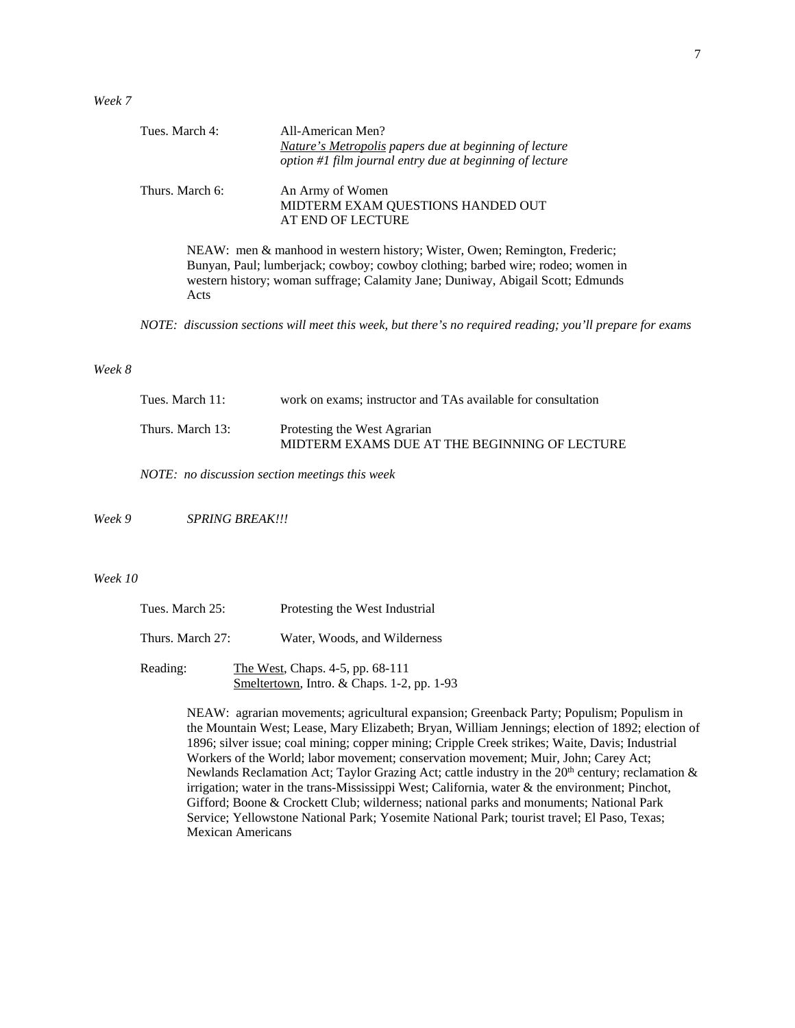*Week 7* 

| Tues. March 4:  | All-American Men?                                                               |
|-----------------|---------------------------------------------------------------------------------|
|                 | Nature's Metropolis papers due at beginning of lecture                          |
|                 | option #1 film journal entry due at beginning of lecture                        |
| Thurs. March 6: | An Army of Women                                                                |
|                 | MIDTERM EXAM QUESTIONS HANDED OUT                                               |
|                 | AT END OF LECTURE                                                               |
|                 | NEAW: men & manhood in western history; Wister, Owen; Remington, Frederic;      |
|                 | Bunyan, Paul; lumberjack; cowboy; cowboy clothing; barbed wire; rodeo; women in |
|                 | western history; woman suffrage; Calamity Jane; Duniway, Abigail Scott; Edmunds |
| Acts            |                                                                                 |

*NOTE: discussion sections will meet this week, but there's no required reading; you'll prepare for exams*

### *Week 8*

| Tues. March 11:  | work on exams: instructor and TAs available for consultation                  |
|------------------|-------------------------------------------------------------------------------|
| Thurs. March 13: | Protesting the West Agrarian<br>MIDTERM EXAMS DUE AT THE BEGINNING OF LECTURE |

*NOTE: no discussion section meetings this week* 

*Week 9 SPRING BREAK!!!*

# *Week 10*

| Tues. March 25:  | Protesting the West Industrial        |
|------------------|---------------------------------------|
| Thurs. March 27: | Water, Woods, and Wilderness          |
| Reading:         | The West, Chaps. $4-5$ , pp. $68-111$ |

Smeltertown, Intro. & Chaps. 1-2, pp. 1-93

NEAW: agrarian movements; agricultural expansion; Greenback Party; Populism; Populism in the Mountain West; Lease, Mary Elizabeth; Bryan, William Jennings; election of 1892; election of 1896; silver issue; coal mining; copper mining; Cripple Creek strikes; Waite, Davis; Industrial Workers of the World; labor movement; conservation movement; Muir, John; Carey Act; Newlands Reclamation Act; Taylor Grazing Act; cattle industry in the  $20<sup>th</sup>$  century; reclamation & irrigation; water in the trans-Mississippi West; California, water & the environment; Pinchot, Gifford; Boone & Crockett Club; wilderness; national parks and monuments; National Park Service; Yellowstone National Park; Yosemite National Park; tourist travel; El Paso, Texas; Mexican Americans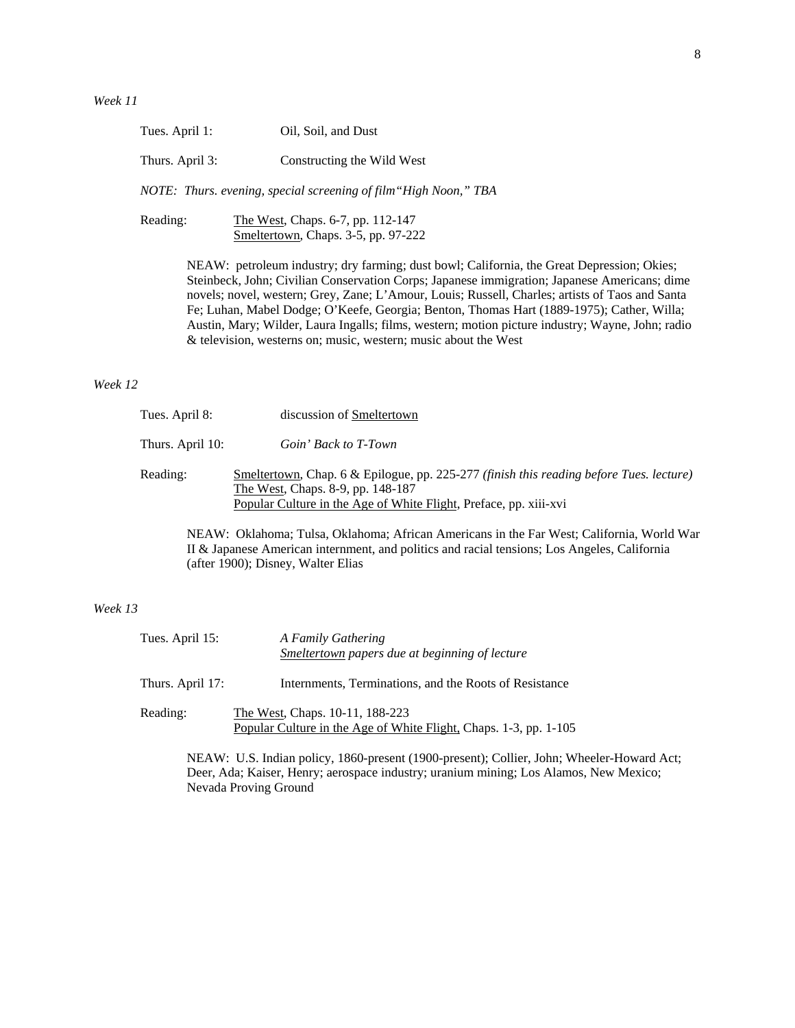Thurs. April 3: Constructing the Wild West

 *NOTE: Thurs. evening, special screening of film"High Noon," TBA*

Reading: The West, Chaps. 6-7, pp. 112-147 Smeltertown, Chaps. 3-5, pp. 97-222

> NEAW: petroleum industry; dry farming; dust bowl; California, the Great Depression; Okies; Steinbeck, John; Civilian Conservation Corps; Japanese immigration; Japanese Americans; dime novels; novel, western; Grey, Zane; L'Amour, Louis; Russell, Charles; artists of Taos and Santa Fe; Luhan, Mabel Dodge; O'Keefe, Georgia; Benton, Thomas Hart (1889-1975); Cather, Willa; Austin, Mary; Wilder, Laura Ingalls; films, western; motion picture industry; Wayne, John; radio & television, westerns on; music, western; music about the West

# *Week 12*

| Tues. April 8:   | discussion of Smeltertown                                                                                                                                                                         |
|------------------|---------------------------------------------------------------------------------------------------------------------------------------------------------------------------------------------------|
| Thurs. April 10: | Goin' Back to T-Town                                                                                                                                                                              |
| Reading:         | Smeltertown, Chap. 6 & Epilogue, pp. 225-277 (finish this reading before Tues. lecture)<br>The West, Chaps. 8-9, pp. 148-187<br>Popular Culture in the Age of White Flight, Preface, pp. xiii-xvi |

NEAW: Oklahoma; Tulsa, Oklahoma; African Americans in the Far West; California, World War II & Japanese American internment, and politics and racial tensions; Los Angeles, California (after 1900); Disney, Walter Elias

# *Week 13*

| Tues. April 15:  | A Family Gathering<br>Smeltertown papers due at beginning of lecture                                 |
|------------------|------------------------------------------------------------------------------------------------------|
| Thurs. April 17: | Internments, Terminations, and the Roots of Resistance                                               |
| Reading:         | The West, Chaps. 10-11, 188-223<br>Popular Culture in the Age of White Flight, Chaps. 1-3, pp. 1-105 |

NEAW: U.S. Indian policy, 1860-present (1900-present); Collier, John; Wheeler-Howard Act; Deer, Ada; Kaiser, Henry; aerospace industry; uranium mining; Los Alamos, New Mexico; Nevada Proving Ground